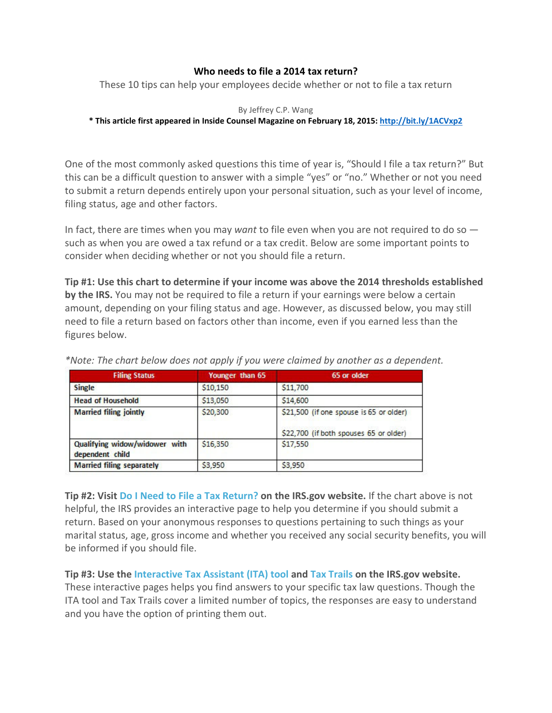## **Who needs to file a 2014 tax return?**

These 10 tips can help your employees decide whether or not to file a tax return

## By Jeffrey C.P. Wang

## **\* This article first appeared in Inside Counsel Magazine on February 18, 2015[: http://bit.ly/1ACVxp2](http://bit.ly/1ACVxp2)**

One of the most commonly asked questions this time of year is, "Should I file a tax return?" But this can be a difficult question to answer with a simple "yes" or "no." Whether or not you need to submit a return depends entirely upon your personal situation, such as your level of income, filing status, age and other factors.

In fact, there are times when you may *want* to file even when you are not required to do so such as when you are owed a tax refund or a tax credit. Below are some important points to consider when deciding whether or not you should file a return.

**Tip #1: Use this chart to determine if your income was above the 2014 thresholds established by the IRS.** You may not be required to file a return if your earnings were below a certain amount, depending on your filing status and age. However, as discussed below, you may still need to file a return based on factors other than income, even if you earned less than the figures below.

| <b>Filing Status</b>                             | Younger than 65 | 65 or older                                                                       |  |
|--------------------------------------------------|-----------------|-----------------------------------------------------------------------------------|--|
| <b>Single</b>                                    | \$10,150        | \$11,700                                                                          |  |
| <b>Head of Household</b>                         | \$13,050        | \$14,600                                                                          |  |
| <b>Married filing jointly</b>                    | \$20,300        | \$21,500 (if one spouse is 65 or older)<br>\$22,700 (if both spouses 65 or older) |  |
| Qualifying widow/widower with<br>dependent child | \$16,350        | \$17,550                                                                          |  |
| <b>Married filing separately</b>                 | \$3,950         | \$3,950                                                                           |  |

*\*Note: The chart below does not apply if you were claimed by another as a dependent.*

**Tip #2: Visit [Do I Need to File a Tax Return?](http://www.irs.gov/uac/Do-I-Need-to-File-a-Tax-Return%3F) on the IRS.gov website.** If the chart above is not helpful, the IRS provides an interactive page to help you determine if you should submit a return. Based on your anonymous responses to questions pertaining to such things as your marital status, age, gross income and whether you received any social security benefits, you will be informed if you should file.

**Tip #3: Use the [Interactive Tax Assistant \(ITA\) tool](http://www.irs.gov/uac/Interactive-Tax-Assistant-(ITA)-1) and [Tax Trails](http://www.irs.gov/Individuals/Tax-Trails---Main-Menu) on the IRS.gov website.** These interactive pages helps you find answers to your specific tax law questions. Though the ITA tool and Tax Trails cover a limited number of topics, the responses are easy to understand and you have the option of printing them out.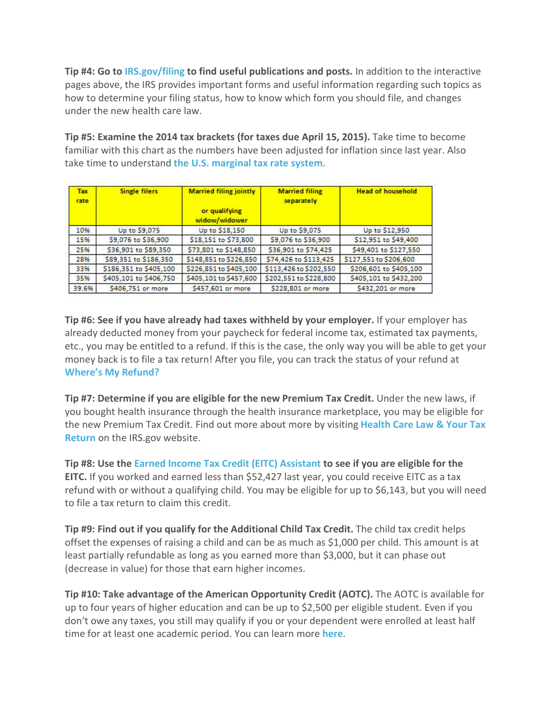**Tip #4: Go to [IRS.gov/filing](http://www.irs.gov/Filing) to find useful publications and posts.** In addition to the interactive pages above, the IRS provides important forms and useful information regarding such topics as how to determine your filing status, how to know which form you should file, and changes under the new health care law.

**Tip #5: Examine the 2014 tax brackets (for taxes due April 15, 2015).** Take time to become familiar with this chart as the numbers have been adjusted for inflation since last year. Also take time to understand **[the U.S. marginal tax rate system](http://www.investopedia.com/terms/m/marginaltaxrate.asp)**.

| Tax<br>rate | <b>Single filers</b>   | <b>Married filing jointly</b><br>or qualifying<br>widow/widower | <b>Married filing</b><br>separately | <b>Head of household</b> |
|-------------|------------------------|-----------------------------------------------------------------|-------------------------------------|--------------------------|
| 10%         | Up to \$9,075          | Up to \$18,150                                                  | Up to \$9,075                       | Up to \$12,950           |
| 15%         | \$9,076 to \$36,900    | \$18,151 to \$73,800                                            | \$9,076 to \$36,900                 | \$12,951 to \$49,400     |
| 25%         | \$36,901 to \$89,350   | \$73,801 to \$148,850                                           | \$36,901 to \$74,425                | \$49,401 to \$127,550    |
| 28%         | \$89,351 to \$186,350  | \$148,851 to \$226,850                                          | \$74,426 to \$113,425               | \$127,551 to \$206,600   |
| 33%         | \$186,351 to \$405,100 | \$226,851 to \$405,100                                          | \$113,426 to \$202,550              | \$206,601 to \$405,100   |
| 35%         | \$405,101 to \$406,750 | \$405,101 to \$457,600                                          | \$202,551 to \$228,800              | \$405,101 to \$432,200   |
| 39.6%       | \$406,751 or more      | \$457,601 or more                                               | \$228,801 or more                   | \$432,201 or more        |

**Tip #6: See if you have already had taxes withheld by your employer.** If your employer has already deducted money from your paycheck for federal income tax, estimated tax payments, etc., you may be entitled to a refund. If this is the case, the only way you will be able to get your money back is to file a tax return! After you file, you can track the status of your refund at **[Where's My Refund?](https://sa.www4.irs.gov/irfof/lang/en/irfofgetstatus.jsp)**

**Tip #7: Determine if you are eligible for the new Premium Tax Credit.** Under the new laws, if you bought health insurance through the health insurance marketplace, you may be eligible for the new Premium Tax Credit. Find out more about more by visiting **[Health Care Law & Your Tax](http://www.irs.gov/Affordable-Care-Act/Individuals-and-Families/Health-Care-Law-and-Your-Tax-Return)  [Return](http://www.irs.gov/Affordable-Care-Act/Individuals-and-Families/Health-Care-Law-and-Your-Tax-Return)** on the IRS.gov website.

**Tip #8: Use the [Earned Income Tax Credit \(EITC\) Assistant](http://apps.irs.gov/app/eitc2014/SetLanguage.do?lang=en) to see if you are eligible for the EITC.** If you worked and earned less than \$52,427 last year, you could receive EITC as a tax refund with or without a qualifying child. You may be eligible for up to \$6,143, but you will need to file a tax return to claim this credit.

**Tip #9: Find out if you qualify for the Additional Child Tax Credit.** The child tax credit helps offset the expenses of raising a child and can be as much as \$1,000 per child. This amount is at least partially refundable as long as you earned more than \$3,000, but it can phase out (decrease in value) for those that earn higher incomes.

**Tip #10: Take advantage of the American Opportunity Credit (AOTC).** The AOTC is available for up to four years of higher education and can be up to \$2,500 per eligible student. Even if you don't owe any taxes, you still may qualify if you or your dependent were enrolled at least half time for at least one academic period. You can learn more **[here](http://www.irs.gov/uac/American-Opportunity-Tax-Credit:-Questions-and-Answers)**.